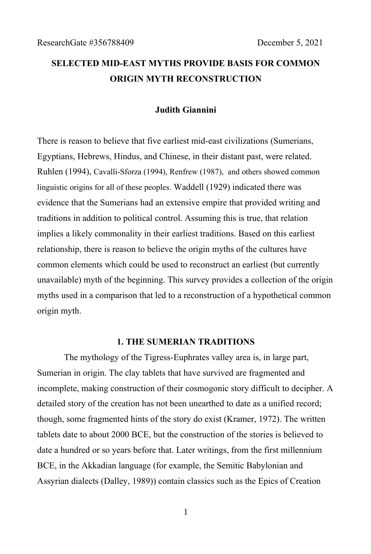# **SELECTED MID-EAST MYTHS PROVIDE BASIS FOR COMMON ORIGIN MYTH RECONSTRUCTION**

#### **Judith Giannini**

There is reason to believe that five earliest mid-east civilizations (Sumerians, Egyptians, Hebrews, Hindus, and Chinese, in their distant past, were related. Ruhlen (1994), Cavalli-Sforza (1994), Renfrew (1987), and others showed common linguistic origins for all of these peoples. Waddell (1929) indicated there was evidence that the Sumerians had an extensive empire that provided writing and traditions in addition to political control. Assuming this is true, that relation implies a likely commonality in their earliest traditions. Based on this earliest relationship, there is reason to believe the origin myths of the cultures have common elements which could be used to reconstruct an earliest (but currently unavailable) myth of the beginning. This survey provides a collection of the origin myths used in a comparison that led to a reconstruction of a hypothetical common origin myth.

#### **1. THE SUMERIAN TRADITIONS**

The mythology of the Tigress-Euphrates valley area is, in large part, Sumerian in origin. The clay tablets that have survived are fragmented and incomplete, making construction of their cosmogonic story difficult to decipher. A detailed story of the creation has not been unearthed to date as a unified record; though, some fragmented hints of the story do exist (Kramer, 1972). The written tablets date to about 2000 BCE, but the construction of the stories is believed to date a hundred or so years before that. Later writings, from the first millennium BCE, in the Akkadian language (for example, the Semitic Babylonian and Assyrian dialects (Dalley, 1989)) contain classics such as the Epics of Creation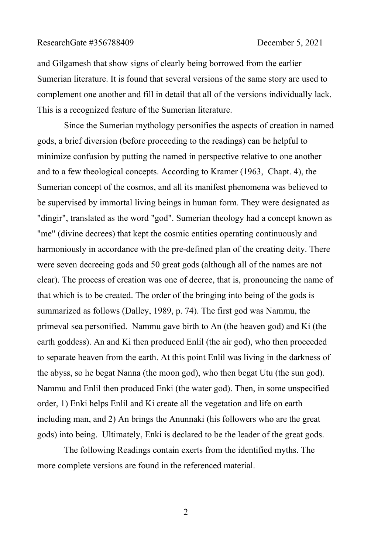#### ResearchGate #356788409 December 5, 2021

and Gilgamesh that show signs of clearly being borrowed from the earlier Sumerian literature. It is found that several versions of the same story are used to complement one another and fill in detail that all of the versions individually lack. This is a recognized feature of the Sumerian literature.

Since the Sumerian mythology personifies the aspects of creation in named gods, a brief diversion (before proceeding to the readings) can be helpful to minimize confusion by putting the named in perspective relative to one another and to a few theological concepts. According to Kramer (1963, Chapt. 4), the Sumerian concept of the cosmos, and all its manifest phenomena was believed to be supervised by immortal living beings in human form. They were designated as "dingir", translated as the word "god". Sumerian theology had a concept known as "me" (divine decrees) that kept the cosmic entities operating continuously and harmoniously in accordance with the pre-defined plan of the creating deity. There were seven decreeing gods and 50 great gods (although all of the names are not clear). The process of creation was one of decree, that is, pronouncing the name of that which is to be created. The order of the bringing into being of the gods is summarized as follows (Dalley, 1989, p. 74). The first god was Nammu, the primeval sea personified. Nammu gave birth to An (the heaven god) and Ki (the earth goddess). An and Ki then produced Enlil (the air god), who then proceeded to separate heaven from the earth. At this point Enlil was living in the darkness of the abyss, so he begat Nanna (the moon god), who then begat Utu (the sun god). Nammu and Enlil then produced Enki (the water god). Then, in some unspecified order, 1) Enki helps Enlil and Ki create all the vegetation and life on earth including man, and 2) An brings the Anunnaki (his followers who are the great gods) into being. Ultimately, Enki is declared to be the leader of the great gods.

The following Readings contain exerts from the identified myths. The more complete versions are found in the referenced material.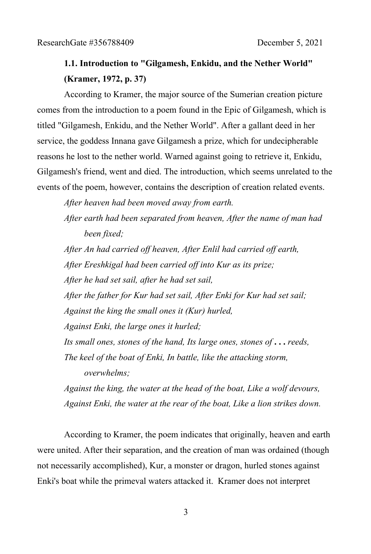# **1.1. Introduction to "Gilgamesh, Enkidu, and the Nether World" (Kramer, 1972, p. 37)**

According to Kramer, the major source of the Sumerian creation picture comes from the introduction to a poem found in the Epic of Gilgamesh, which is titled "Gilgamesh, Enkidu, and the Nether World". After a gallant deed in her service, the goddess Innana gave Gilgamesh a prize, which for undecipherable reasons he lost to the nether world. Warned against going to retrieve it, Enkidu, Gilgamesh's friend, went and died. The introduction, which seems unrelated to the events of the poem, however, contains the description of creation related events.

*After heaven had been moved away from earth.*

*After earth had been separated from heaven, After the name of man had been fixed;*

*After An had carried off heaven, After Enlil had carried off earth, After Ereshkigal had been carried off into Kur as its prize;*

*After he had set sail, after he had set sail,*

*After the father for Kur had set sail, After Enki for Kur had set sail; Against the king the small ones it (Kur) hurled,*

*Against Enki, the large ones it hurled;*

*Its small ones, stones of the hand, Its large ones, stones of* **. . .** *reeds, The keel of the boat of Enki, In battle, like the attacking storm,* 

*overwhelms;*

*Against the king, the water at the head of the boat, Like a wolf devours, Against Enki, the water at the rear of the boat, Like a lion strikes down.*

According to Kramer, the poem indicates that originally, heaven and earth were united. After their separation, and the creation of man was ordained (though not necessarily accomplished), Kur, a monster or dragon, hurled stones against Enki's boat while the primeval waters attacked it. Kramer does not interpret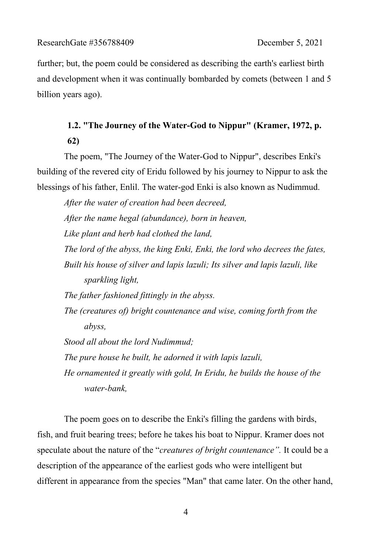further; but, the poem could be considered as describing the earth's earliest birth and development when it was continually bombarded by comets (between 1 and 5 billion years ago).

# **1.2. "The Journey of the Water-God to Nippur" (Kramer, 1972, p. 62)**

The poem, "The Journey of the Water-God to Nippur", describes Enki's building of the revered city of Eridu followed by his journey to Nippur to ask the blessings of his father, Enlil. The water-god Enki is also known as Nudimmud.

*After the water of creation had been decreed, After the name hegal (abundance), born in heaven, Like plant and herb had clothed the land, The lord of the abyss, the king Enki, Enki, the lord who decrees the fates, Built his house of silver and lapis lazuli; Its silver and lapis lazuli, like sparkling light, The father fashioned fittingly in the abyss. The (creatures of) bright countenance and wise, coming forth from the abyss, Stood all about the lord Nudimmud; The pure house he built, he adorned it with lapis lazuli, He ornamented it greatly with gold, In Eridu, he builds the house of the water-bank,*

The poem goes on to describe the Enki's filling the gardens with birds, fish, and fruit bearing trees; before he takes his boat to Nippur. Kramer does not speculate about the nature of the "*creatures of bright countenance".* It could be a description of the appearance of the earliest gods who were intelligent but different in appearance from the species "Man" that came later. On the other hand,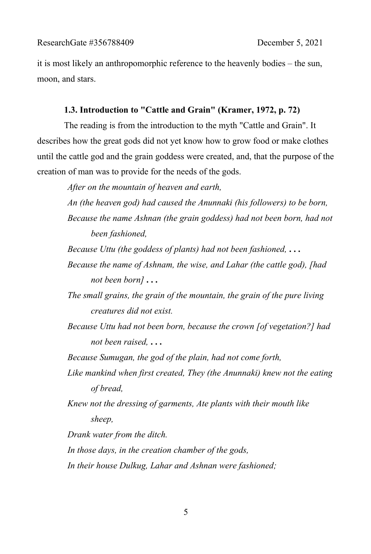it is most likely an anthropomorphic reference to the heavenly bodies – the sun, moon, and stars.

### **1.3. Introduction to "Cattle and Grain" (Kramer, 1972, p. 72)**

The reading is from the introduction to the myth "Cattle and Grain". It describes how the great gods did not yet know how to grow food or make clothes until the cattle god and the grain goddess were created, and, that the purpose of the creation of man was to provide for the needs of the gods.

*After on the mountain of heaven and earth,*

*An (the heaven god) had caused the Anunnaki (his followers) to be born, Because the name Ashnan (the grain goddess) had not been born, had not been fashioned,*

- *Because Uttu (the goddess of plants) had not been fashioned,* **. . .**
- *Because the name of Ashnam, the wise, and Lahar (the cattle god), [had not been born]* **. . .**
- *The small grains, the grain of the mountain, the grain of the pure living creatures did not exist.*
- *Because Uttu had not been born, because the crown [of vegetation?] had not been raised,* **. . .**

*Because Sumugan, the god of the plain, had not come forth,*

- *Like mankind when first created, They (the Anunnaki) knew not the eating of bread,*
- *Knew not the dressing of garments, Ate plants with their mouth like sheep,*

*Drank water from the ditch.*

*In those days, in the creation chamber of the gods,* 

*In their house Dulkug, Lahar and Ashnan were fashioned;*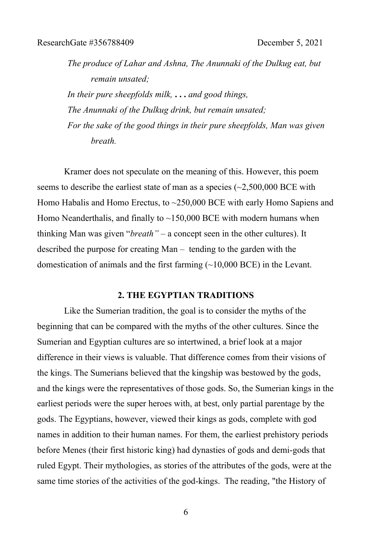*The produce of Lahar and Ashna, The Anunnaki of the Dulkug eat, but remain unsated;*

*In their pure sheepfolds milk,* **. . .** *and good things, The Anunnaki of the Dulkug drink, but remain unsated; For the sake of the good things in their pure sheepfolds, Man was given breath.*

Kramer does not speculate on the meaning of this. However, this poem seems to describe the earliest state of man as a species  $\left(\sim 2,500,000 \text{ BCE with}\right)$ Homo Habalis and Homo Erectus, to ~250,000 BCE with early Homo Sapiens and Homo Neanderthalis, and finally to  $\sim$ 150,000 BCE with modern humans when thinking Man was given "*breath"* – a concept seen in the other cultures). It described the purpose for creating Man – tending to the garden with the domestication of animals and the first farming (~10,000 BCE) in the Levant.

### **2. THE EGYPTIAN TRADITIONS**

Like the Sumerian tradition, the goal is to consider the myths of the beginning that can be compared with the myths of the other cultures. Since the Sumerian and Egyptian cultures are so intertwined, a brief look at a major difference in their views is valuable. That difference comes from their visions of the kings. The Sumerians believed that the kingship was bestowed by the gods, and the kings were the representatives of those gods. So, the Sumerian kings in the earliest periods were the super heroes with, at best, only partial parentage by the gods. The Egyptians, however, viewed their kings as gods, complete with god names in addition to their human names. For them, the earliest prehistory periods before Menes (their first historic king) had dynasties of gods and demi-gods that ruled Egypt. Their mythologies, as stories of the attributes of the gods, were at the same time stories of the activities of the god-kings. The reading, "the History of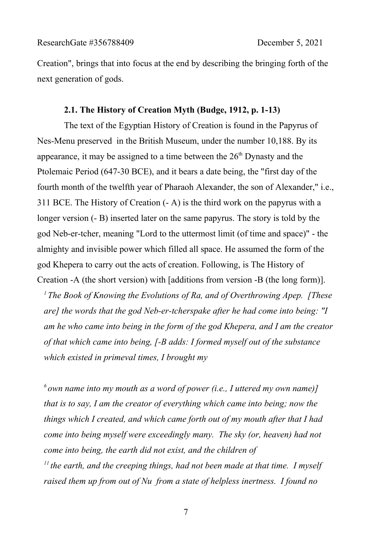Creation", brings that into focus at the end by describing the bringing forth of the next generation of gods.

## **2.1. The History of Creation Myth (Budge, 1912, p. 1-13)**

The text of the Egyptian History of Creation is found in the Papyrus of Nes-Menu preserved in the British Museum, under the number 10,188. By its appearance, it may be assigned to a time between the  $26<sup>th</sup>$  Dynasty and the Ptolemaic Period (647-30 BCE), and it bears a date being, the "first day of the fourth month of the twelfth year of Pharaoh Alexander, the son of Alexander," i.e., 311 BCE. The History of Creation (- A) is the third work on the papyrus with a longer version (- B) inserted later on the same papyrus. The story is told by the god Neb-er-tcher, meaning "Lord to the uttermost limit (of time and space)" - the almighty and invisible power which filled all space. He assumed the form of the god Khepera to carry out the acts of creation. Following, is The History of Creation -A (the short version) with [additions from version -B (the long form)].

*<sup>1</sup>The Book of Knowing the Evolutions of Ra, and of Overthrowing Apep. [These are] the words that the god Neb-er-tcherspake after he had come into being: "I am he who came into being in the form of the god Khepera, and I am the creator of that which came into being, [-B adds: I formed myself out of the substance which existed in primeval times, I brought my*

*<sup>6</sup>own name into my mouth as a word of power (i.e., I uttered my own name)] that is to say, I am the creator of everything which came into being; now the things which I created, and which came forth out of my mouth after that I had come into being myself were exceedingly many. The sky (or, heaven) had not come into being, the earth did not exist, and the children of <sup>11</sup>the earth, and the creeping things, had not been made at that time. I myself raised them up from out of Nu from a state of helpless inertness. I found no*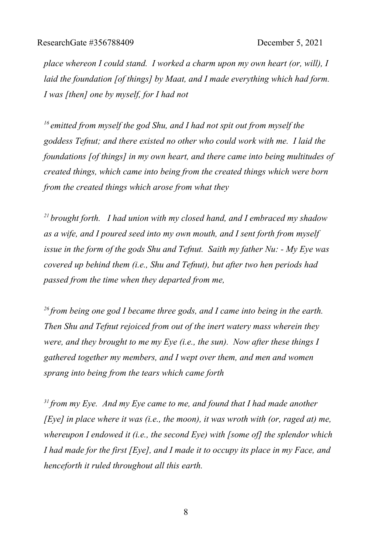*place whereon I could stand. I worked a charm upon my own heart (or, will), I laid the foundation [of things] by Maat, and I made everything which had form. I was [then] one by myself, for I had not* 

*<sup>16</sup>emitted from myself the god Shu, and I had not spit out from myself the goddess Tefnut; and there existed no other who could work with me. I laid the foundations [of things] in my own heart, and there came into being multitudes of created things, which came into being from the created things which were born from the created things which arose from what they*

*<sup>21</sup>brought forth. I had union with my closed hand, and I embraced my shadow as a wife, and I poured seed into my own mouth, and I sent forth from myself issue in the form of the gods Shu and Tefnut. Saith my father Nu: - My Eye was covered up behind them (i.e., Shu and Tefnut), but after two hen periods had passed from the time when they departed from me,*

*<sup>26</sup>from being one god I became three gods, and I came into being in the earth. Then Shu and Tefnut rejoiced from out of the inert watery mass wherein they were, and they brought to me my Eye (i.e., the sun). Now after these things I gathered together my members, and I wept over them, and men and women sprang into being from the tears which came forth*

*<sup>31</sup>from my Eye. And my Eye came to me, and found that I had made another [Eye] in place where it was (i.e., the moon), it was wroth with (or, raged at) me, whereupon I endowed it (i.e., the second Eye) with [some of] the splendor which I had made for the first [Eye], and I made it to occupy its place in my Face, and henceforth it ruled throughout all this earth.*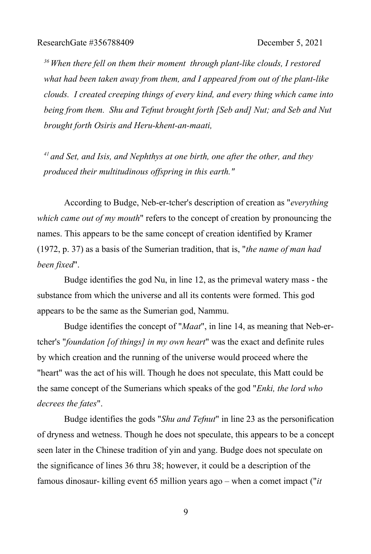*<sup>36</sup>When there fell on them their moment through plant-like clouds, I restored what had been taken away from them, and I appeared from out of the plant-like clouds. I created creeping things of every kind, and every thing which came into being from them. Shu and Tefnut brought forth [Seb and] Nut; and Seb and Nut brought forth Osiris and Heru-khent-an-maati,*

*<sup>41</sup>and Set, and Isis, and Nephthys at one birth, one after the other, and they produced their multitudinous offspring in this earth."*

According to Budge, Neb-er-tcher's description of creation as "*everything which came out of my mouth*" refers to the concept of creation by pronouncing the names. This appears to be the same concept of creation identified by Kramer (1972, p. 37) as a basis of the Sumerian tradition, that is, "*the name of man had been fixed*".

Budge identifies the god Nu, in line 12, as the primeval watery mass - the substance from which the universe and all its contents were formed. This god appears to be the same as the Sumerian god, Nammu.

Budge identifies the concept of "*Maat*", in line 14, as meaning that Neb-ertcher's "*foundation [of things] in my own heart*" was the exact and definite rules by which creation and the running of the universe would proceed where the "heart" was the act of his will. Though he does not speculate, this Matt could be the same concept of the Sumerians which speaks of the god "*Enki, the lord who decrees the fates*".

Budge identifies the gods "*Shu and Tefnut*" in line 23 as the personification of dryness and wetness. Though he does not speculate, this appears to be a concept seen later in the Chinese tradition of yin and yang. Budge does not speculate on the significance of lines 36 thru 38; however, it could be a description of the famous dinosaur- killing event 65 million years ago – when a comet impact ("*it*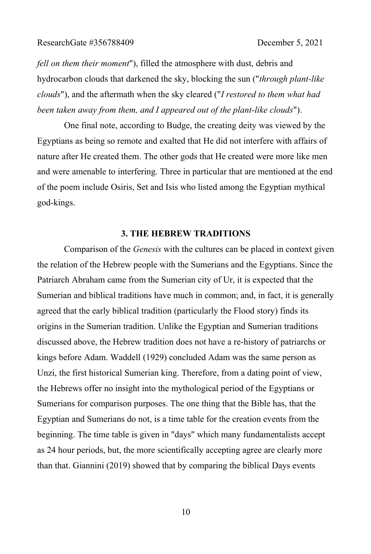*fell on them their moment*"), filled the atmosphere with dust, debris and hydrocarbon clouds that darkened the sky, blocking the sun ("*through plant-like clouds*"), and the aftermath when the sky cleared ("*I restored to them what had been taken away from them, and I appeared out of the plant-like clouds*").

One final note, according to Budge, the creating deity was viewed by the Egyptians as being so remote and exalted that He did not interfere with affairs of nature after He created them. The other gods that He created were more like men and were amenable to interfering. Three in particular that are mentioned at the end of the poem include Osiris, Set and Isis who listed among the Egyptian mythical god-kings.

#### **3. THE HEBREW TRADITIONS**

Comparison of the *Genesis* with the cultures can be placed in context given the relation of the Hebrew people with the Sumerians and the Egyptians. Since the Patriarch Abraham came from the Sumerian city of Ur, it is expected that the Sumerian and biblical traditions have much in common; and, in fact, it is generally agreed that the early biblical tradition (particularly the Flood story) finds its origins in the Sumerian tradition. Unlike the Egyptian and Sumerian traditions discussed above, the Hebrew tradition does not have a re-history of patriarchs or kings before Adam. Waddell (1929) concluded Adam was the same person as Unzi, the first historical Sumerian king. Therefore, from a dating point of view, the Hebrews offer no insight into the mythological period of the Egyptians or Sumerians for comparison purposes. The one thing that the Bible has, that the Egyptian and Sumerians do not, is a time table for the creation events from the beginning. The time table is given in "days" which many fundamentalists accept as 24 hour periods, but, the more scientifically accepting agree are clearly more than that. Giannini (2019) showed that by comparing the biblical Days events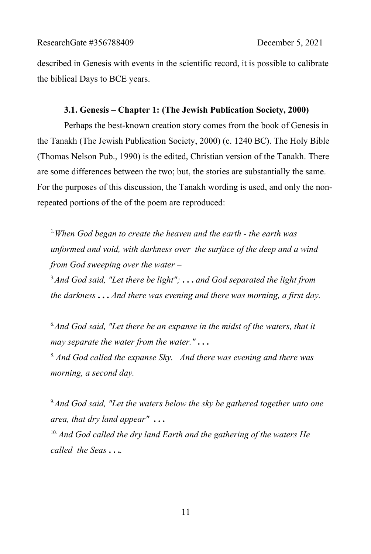described in Genesis with events in the scientific record, it is possible to calibrate the biblical Days to BCE years.

### **3.1. Genesis – Chapter 1: (The Jewish Publication Society, 2000)**

Perhaps the best-known creation story comes from the book of Genesis in the Tanakh (The Jewish Publication Society, 2000) (c. 1240 BC). The Holy Bible (Thomas Nelson Pub., 1990) is the edited, Christian version of the Tanakh. There are some differences between the two; but, the stories are substantially the same. For the purposes of this discussion, the Tanakh wording is used, and only the nonrepeated portions of the of the poem are reproduced:

1.*When God began to create the heaven and the earth - the earth was unformed and void, with darkness over the surface of the deep and a wind from God sweeping over the water –* 

3.*And God said, "Let there be light";* **. . .** *and God separated the light from the darkness* **. . .** *And there was evening and there was morning, a first day.* 

6.*And God said, "Let there be an expanse in the midst of the waters, that it may separate the water from the water."* **. . .**

8. *And God called the expanse Sky. And there was evening and there was morning, a second day.*

9.*And God said, "Let the waters below the sky be gathered together unto one area, that dry land appear"* **. . .**

10. *And God called the dry land Earth and the gathering of the waters He called the Seas* **. . .***.*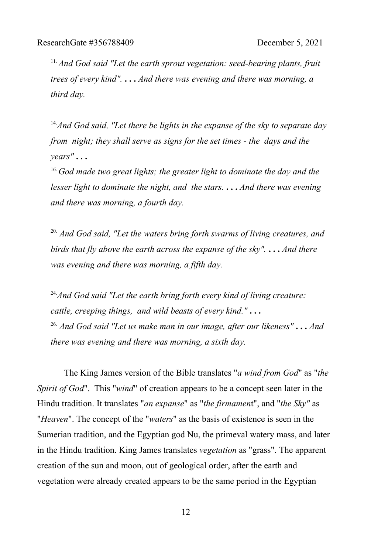<sup>11.</sup> And God said "Let the earth sprout vegetation: seed-bearing plants, fruit *trees of every kind".* **. . .** *And there was evening and there was morning, a third day.*

14.*And God said, "Let there be lights in the expanse of the sky to separate day from night; they shall serve as signs for the set times - the days and the years"* **. . .**

<sup>16.</sup> God made two great lights; the greater light to dominate the day and the *lesser light to dominate the night, and the stars.* **. . .** *And there was evening and there was morning, a fourth day.*

20. *And God said, "Let the waters bring forth swarms of living creatures, and birds that fly above the earth across the expanse of the sky".* **. . .** *And there was evening and there was morning, a fifth day.*

<sup>24</sup>. And God said "Let the earth bring forth every kind of living creature: *cattle, creeping things, and wild beasts of every kind."* **. . .** 26. *And God said "Let us make man in our image, after our likeness"* **. . .** *And there was evening and there was morning, a sixth day.*

The King James version of the Bible translates "*a wind from God*" as "*the Spirit of God*". This "*wind*" of creation appears to be a concept seen later in the Hindu tradition. It translates "*an expanse*" as "*the firmamen*t", and "*the Sky"* as "*Heaven*". The concept of the "*waters*" as the basis of existence is seen in the Sumerian tradition, and the Egyptian god Nu, the primeval watery mass, and later in the Hindu tradition. King James translates *vegetation* as "grass". The apparent creation of the sun and moon, out of geological order, after the earth and vegetation were already created appears to be the same period in the Egyptian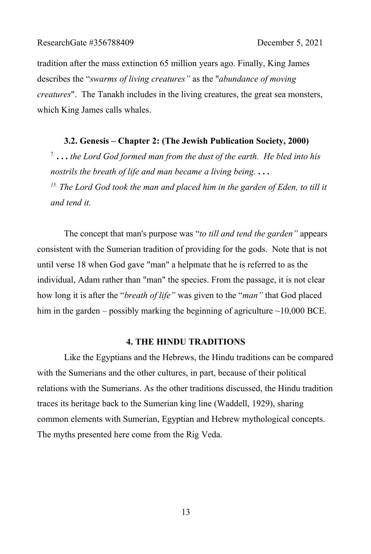tradition after the mass extinction 65 million years ago. Finally, King James describes the "*swarms of living creatures"* as the "*abundance of moving creatures*". The Tanakh includes in the living creatures, the great sea monsters, which King James calls whales.

#### **3.2. Genesis – Chapter 2: (The Jewish Publication Society, 2000)**

7. **. . .** *the Lord God formed man from the dust of the earth. He bled into his nostrils the breath of life and man became a living being.* **. . .** *15. The Lord God took the man and placed him in the garden of Eden, to till it and tend it.*

The concept that man's purpose was "*to till and tend the garden"* appears consistent with the Sumerian tradition of providing for the gods. Note that is not until verse 18 when God gave "man" a helpmate that he is referred to as the individual, Adam rather than "man" the species. From the passage, it is not clear how long it is after the "*breath of life"* was given to the "*man"* that God placed him in the garden – possibly marking the beginning of agriculture  $\sim$ 10,000 BCE.

#### **4. THE HINDU TRADITIONS**

Like the Egyptians and the Hebrews, the Hindu traditions can be compared with the Sumerians and the other cultures, in part, because of their political relations with the Sumerians. As the other traditions discussed, the Hindu tradition traces its heritage back to the Sumerian king line (Waddell, 1929), sharing common elements with Sumerian, Egyptian and Hebrew mythological concepts. The myths presented here come from the Rig Veda.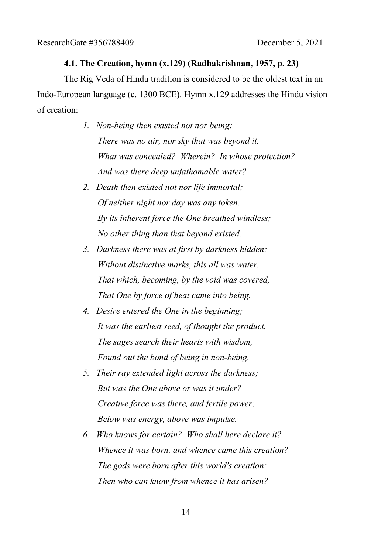### **4.1. The Creation, hymn (x.129) (Radhakrishnan, 1957, p. 23)**

The Rig Veda of Hindu tradition is considered to be the oldest text in an Indo-European language (c. 1300 BCE). Hymn x.129 addresses the Hindu vision of creation:

- *1. Non-being then existed not nor being: There was no air, nor sky that was beyond it. What was concealed? Wherein? In whose protection? And was there deep unfathomable water?*
- *2. Death then existed not nor life immortal; Of neither night nor day was any token. By its inherent force the One breathed windless; No other thing than that beyond existed.*
- *3. Darkness there was at first by darkness hidden; Without distinctive marks, this all was water. That which, becoming, by the void was covered, That One by force of heat came into being.*
- *4. Desire entered the One in the beginning; It was the earliest seed, of thought the product. The sages search their hearts with wisdom, Found out the bond of being in non-being.*
- *5. Their ray extended light across the darkness; But was the One above or was it under? Creative force was there, and fertile power; Below was energy, above was impulse.*
- *6. Who knows for certain? Who shall here declare it? Whence it was born, and whence came this creation? The gods were born after this world's creation; Then who can know from whence it has arisen?*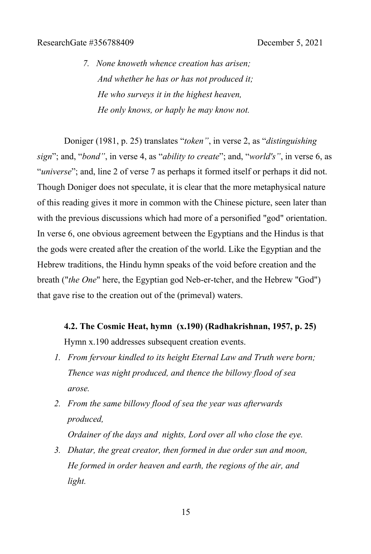*7. None knoweth whence creation has arisen; And whether he has or has not produced it; He who surveys it in the highest heaven, He only knows, or haply he may know not.*

Doniger (1981, p. 25) translates "*token"*, in verse 2, as "*distinguishing sign*"; and, "*bond"*, in verse 4, as "*ability to create*"; and, "*world's"*, in verse 6, as "*universe*"; and, line 2 of verse 7 as perhaps it formed itself or perhaps it did not. Though Doniger does not speculate, it is clear that the more metaphysical nature of this reading gives it more in common with the Chinese picture, seen later than with the previous discussions which had more of a personified "god" orientation. In verse 6, one obvious agreement between the Egyptians and the Hindus is that the gods were created after the creation of the world. Like the Egyptian and the Hebrew traditions, the Hindu hymn speaks of the void before creation and the breath ("*the One*" here, the Egyptian god Neb-er-tcher, and the Hebrew "God") that gave rise to the creation out of the (primeval) waters.

**4.2. The Cosmic Heat, hymn (x.190) (Radhakrishnan, 1957, p. 25)**

Hymn x.190 addresses subsequent creation events.

- *1. From fervour kindled to its height Eternal Law and Truth were born; Thence was night produced, and thence the billowy flood of sea arose.*
- *2. From the same billowy flood of sea the year was afterwards produced,*

*Ordainer of the days and nights, Lord over all who close the eye.*

*3. Dhatar, the great creator, then formed in due order sun and moon, He formed in order heaven and earth, the regions of the air, and light.*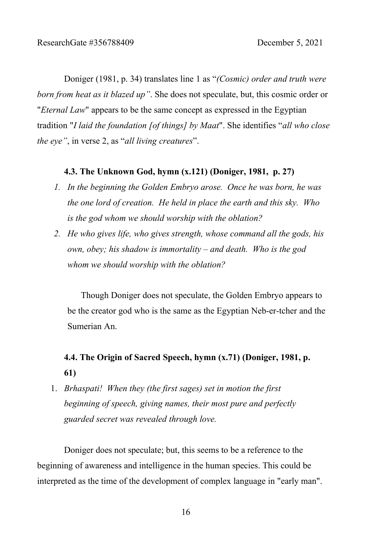Doniger (1981, p. 34) translates line 1 as "*(Cosmic) order and truth were born from heat as it blazed up"*. She does not speculate, but, this cosmic order or "*Eternal Law*" appears to be the same concept as expressed in the Egyptian tradition "*I laid the foundation [of things] by Maat*". She identifies "*all who close the eye"*, in verse 2, as "*all living creatures*".

#### **4.3. The Unknown God, hymn (x.121) (Doniger, 1981, p. 27)**

- *1. In the beginning the Golden Embryo arose. Once he was born, he was the one lord of creation. He held in place the earth and this sky. Who is the god whom we should worship with the oblation?*
- *2. He who gives life, who gives strength, whose command all the gods, his own, obey; his shadow is immortality – and death. Who is the god whom we should worship with the oblation?*

Though Doniger does not speculate, the Golden Embryo appears to be the creator god who is the same as the Egyptian Neb-er-tcher and the Sumerian An.

# **4.4. The Origin of Sacred Speech, hymn (x.71) (Doniger, 1981, p. 61)**

1. *Brhaspati! When they (the first sages) set in motion the first beginning of speech, giving names, their most pure and perfectly guarded secret was revealed through love.*

Doniger does not speculate; but, this seems to be a reference to the beginning of awareness and intelligence in the human species. This could be interpreted as the time of the development of complex language in "early man".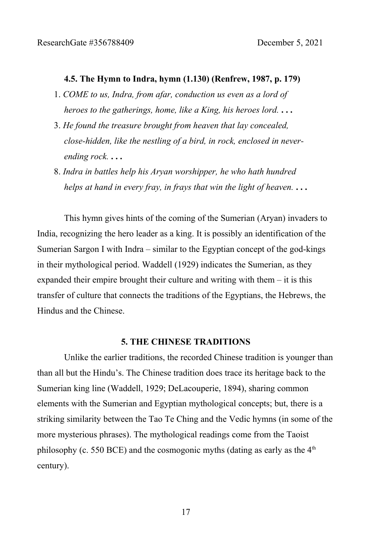#### **4.5. The Hymn to Indra, hymn (1.130) (Renfrew, 1987, p. 179)**

- 1. *COME to us, Indra, from afar, conduction us even as a lord of heroes to the gatherings, home, like a King, his heroes lord.* **. . .**
- 3. *He found the treasure brought from heaven that lay concealed, close-hidden, like the nestling of a bird, in rock, enclosed in neverending rock.* **. . .**
- 8. *Indra in battles help his Aryan worshipper, he who hath hundred helps at hand in every fray, in frays that win the light of heaven.* **. . .**

This hymn gives hints of the coming of the Sumerian (Aryan) invaders to India, recognizing the hero leader as a king. It is possibly an identification of the Sumerian Sargon I with Indra – similar to the Egyptian concept of the god-kings in their mythological period. Waddell (1929) indicates the Sumerian, as they expanded their empire brought their culture and writing with them – it is this transfer of culture that connects the traditions of the Egyptians, the Hebrews, the Hindus and the Chinese.

#### **5. THE CHINESE TRADITIONS**

Unlike the earlier traditions, the recorded Chinese tradition is younger than than all but the Hindu's. The Chinese tradition does trace its heritage back to the Sumerian king line (Waddell, 1929; DeLacouperie, 1894), sharing common elements with the Sumerian and Egyptian mythological concepts; but, there is a striking similarity between the Tao Te Ching and the Vedic hymns (in some of the more mysterious phrases). The mythological readings come from the Taoist philosophy (c. 550 BCE) and the cosmogonic myths (dating as early as the  $4<sup>th</sup>$ century).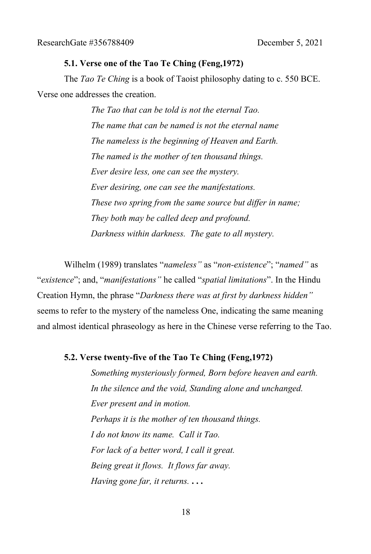### **5.1. Verse one of the Tao Te Ching (Feng,1972)**

The *Tao Te Ching* is a book of Taoist philosophy dating to c. 550 BCE. Verse one addresses the creation.

> *The Tao that can be told is not the eternal Tao. The name that can be named is not the eternal name The nameless is the beginning of Heaven and Earth. The named is the mother of ten thousand things. Ever desire less, one can see the mystery. Ever desiring, one can see the manifestations. These two spring from the same source but differ in name; They both may be called deep and profound. Darkness within darkness. The gate to all mystery.*

Wilhelm (1989) translates "*nameless"* as "*non-existence*"; "*named"* as "*existence*"; and, "*manifestations"* he called "*spatial limitations*". In the Hindu Creation Hymn, the phrase "*Darkness there was at first by darkness hidden"* seems to refer to the mystery of the nameless One, indicating the same meaning and almost identical phraseology as here in the Chinese verse referring to the Tao.

#### **5.2. Verse twenty-five of the Tao Te Ching (Feng,1972)**

*Something mysteriously formed, Born before heaven and earth. In the silence and the void, Standing alone and unchanged. Ever present and in motion. Perhaps it is the mother of ten thousand things. I do not know its name. Call it Tao. For lack of a better word, I call it great. Being great it flows. It flows far away. Having gone far, it returns.* **. . .**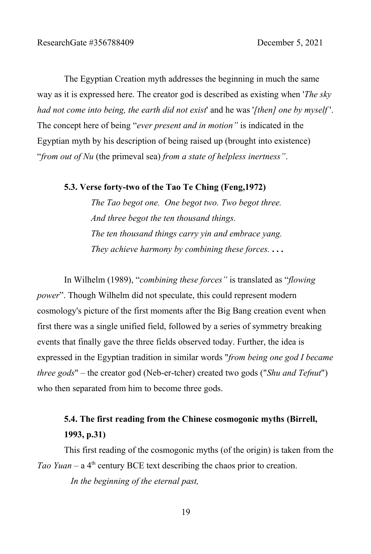The Egyptian Creation myth addresses the beginning in much the same way as it is expressed here. The creator god is described as existing when '*The sky had not come into being, the earth did not exist*' and he was '*[then] one by myself* '. The concept here of being "*ever present and in motion"* is indicated in the Egyptian myth by his description of being raised up (brought into existence) "*from out of Nu* (the primeval sea) *from a state of helpless inertness"*.

#### **5.3. Verse forty-two of the Tao Te Ching (Feng,1972)**

*The Tao begot one. One begot two. Two begot three. And three begot the ten thousand things. The ten thousand things carry yin and embrace yang. They achieve harmony by combining these forces.* **. . .**

In Wilhelm (1989), "*combining these forces"* is translated as "*flowing power*". Though Wilhelm did not speculate, this could represent modern cosmology's picture of the first moments after the Big Bang creation event when first there was a single unified field, followed by a series of symmetry breaking events that finally gave the three fields observed today. Further, the idea is expressed in the Egyptian tradition in similar words "*from being one god I became three gods*" *–* the creator god (Neb-er-tcher) created two gods ("*Shu and Tefnut*") who then separated from him to become three gods.

# **5.4. The first reading from the Chinese cosmogonic myths (Birrell, 1993, p.31)**

This first reading of the cosmogonic myths (of the origin) is taken from the *Tao Yuan* – a  $4<sup>th</sup>$  century BCE text describing the chaos prior to creation.

*In the beginning of the eternal past,*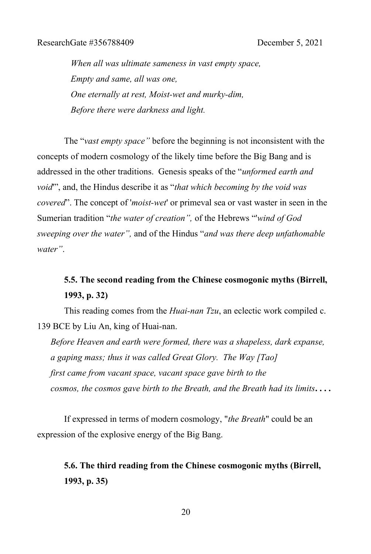*When all was ultimate sameness in vast empty space, Empty and same, all was one, One eternally at rest, Moist-wet and murky-dim, Before there were darkness and light.*

The "*vast empty space"* before the beginning is not inconsistent with the concepts of modern cosmology of the likely time before the Big Bang and is addressed in the other traditions. Genesis speaks of the "*unformed earth and void*'", and, the Hindus describe it as "*that which becoming by the void was covered*". The concept of '*moist-wet*' or primeval sea or vast waster in seen in the Sumerian tradition "*the water of creation",* of the Hebrews "'*wind of God sweeping over the water",* and of the Hindus "*and was there deep unfathomable water"*.

# **5.5. The second reading from the Chinese cosmogonic myths (Birrell, 1993, p. 32)**

This reading comes from the *Huai-nan Tzu*, an eclectic work compiled c. 139 BCE by Liu An, king of Huai-nan.

*Before Heaven and earth were formed, there was a shapeless, dark expanse, a gaping mass; thus it was called Great Glory. The Way [Tao] first came from vacant space, vacant space gave birth to the cosmos, the cosmos gave birth to the Breath, and the Breath had its limits***. . . .**

If expressed in terms of modern cosmology, "*the Breath*" could be an expression of the explosive energy of the Big Bang.

**5.6. The third reading from the Chinese cosmogonic myths (Birrell, 1993, p. 35)**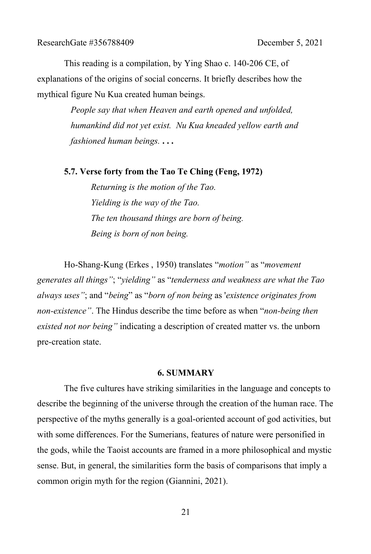This reading is a compilation, by Ying Shao c. 140-206 CE, of explanations of the origins of social concerns. It briefly describes how the mythical figure Nu Kua created human beings.

> *People say that when Heaven and earth opened and unfolded, humankind did not yet exist. Nu Kua kneaded yellow earth and fashioned human beings.* **. . .**

#### **5.7. Verse forty from the Tao Te Ching (Feng, 1972)**

*Returning is the motion of the Tao. Yielding is the way of the Tao. The ten thousand things are born of being. Being is born of non being.*

Ho-Shang-Kung (Erkes , 1950) translates "*motion"* as "*movement generates all things"*; "*yielding"* as "*tenderness and weakness are what the Tao always uses"*; and "*being*" as "*born of non being* as '*existence originates from non-existence"*. The Hindus describe the time before as when "*non-being then existed not nor being"* indicating a description of created matter vs. the unborn pre-creation state.

#### **6. SUMMARY**

The five cultures have striking similarities in the language and concepts to describe the beginning of the universe through the creation of the human race. The perspective of the myths generally is a goal-oriented account of god activities, but with some differences. For the Sumerians, features of nature were personified in the gods, while the Taoist accounts are framed in a more philosophical and mystic sense. But, in general, the similarities form the basis of comparisons that imply a common origin myth for the region (Giannini, 2021).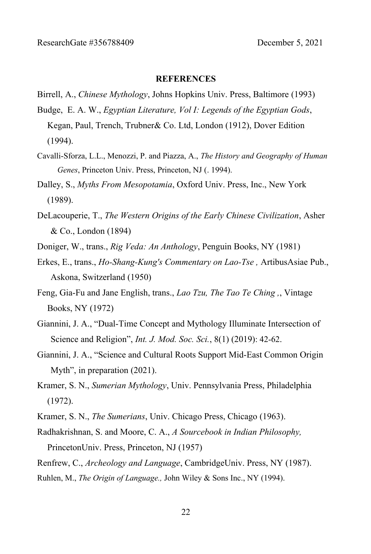#### **REFERENCES**

- Birrell, A., *Chinese Mythology*, Johns Hopkins Univ. Press, Baltimore (1993)
- Budge, E. A. W., *Egyptian Literature, Vol I: Legends of the Egyptian Gods*,
	- Kegan, Paul, Trench, Trubner& Co. Ltd, London (1912), Dover Edition (1994).
- Cavalli-Sforza, L.L., Menozzi, P. and Piazza, A., *The History and Geography of Human Genes*, Princeton Univ. Press, Princeton, NJ (. 1994).
- Dalley, S., *Myths From Mesopotamia*, Oxford Univ. Press, Inc., New York (1989).
- DeLacouperie, T., *The Western Origins of the Early Chinese Civilization*, Asher & Co., London (1894)
- Doniger, W., trans., *Rig Veda: An Anthology*, Penguin Books, NY (1981)
- Erkes, E., trans., *Ho-Shang-Kung's Commentary on Lao-Tse ,* ArtibusAsiae Pub., Askona, Switzerland (1950)
- Feng, Gia-Fu and Jane English, trans., *Lao Tzu, The Tao Te Ching ,*, Vintage Books, NY (1972)
- Giannini, J. A., "Dual-Time Concept and Mythology Illuminate Intersection of Science and Religion", *Int. J. Mod. Soc. Sci.*, 8(1) (2019): 42-62.
- Giannini, J. A., "Science and Cultural Roots Support Mid-East Common Origin Myth", in preparation (2021).
- Kramer, S. N., *Sumerian Mythology*, Univ. Pennsylvania Press, Philadelphia (1972).
- Kramer, S. N., *The Sumerians*, Univ. Chicago Press, Chicago (1963).
- Radhakrishnan, S. and Moore, C. A., *A Sourcebook in Indian Philosophy,*  PrincetonUniv. Press, Princeton, NJ (1957)
- Renfrew, C., *Archeology and Language*, CambridgeUniv. Press, NY (1987).
- Ruhlen, M., *The Origin of Language.,* John Wiley & Sons Inc., NY (1994).